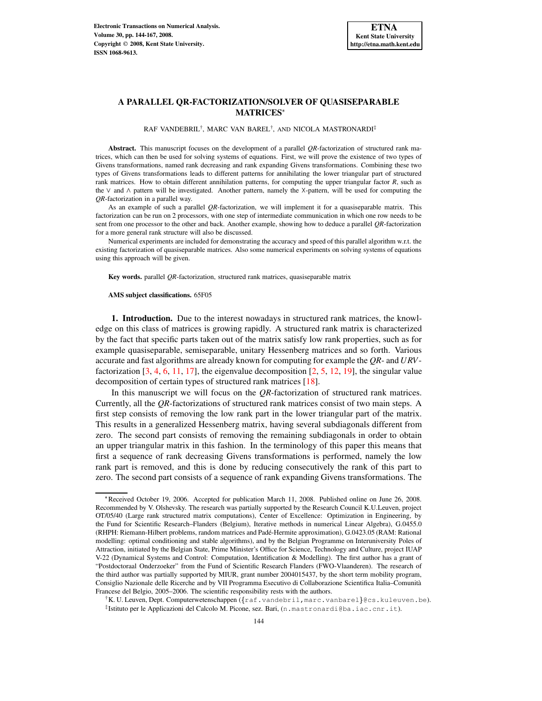# **A PARALLEL QR-FACTORIZATION/SOLVER OF QUASISEPARABLE MATRICES**

RAF VANDEBRIL<sup>†</sup>, MARC VAN BAREL<sup>†</sup>, AND NICOLA MASTRONARDI<sup>‡</sup>

**Abstract.** This manuscript focuses on the development of a parallel *QR*-factorization of structured rank matrices, which can then be used for solving systems of equations. First, we will prove the existence of two types of Givens transformations, named rank decreasing and rank expanding Givens transformations. Combining these two types of Givens transformations leads to different patterns for annihilating the lower triangular part of structured rank matrices. How to obtain different annihilation patterns, for computing the upper triangular factor *R*, such as the  $\vee$  and  $\wedge$  pattern will be investigated. Another pattern, namely the X-pattern, will be used for computing the *QR*-factorization in a parallel way.

As an example of such a parallel *QR*-factorization, we will implement it for a quasiseparable matrix. This factorization can be run on 2 processors, with one step of intermediate communication in which one row needs to be sent from one processor to the other and back. Another example, showing how to deduce a parallel *QR*-factorization for a more general rank structure will also be discussed.

Numerical experiments are included for demonstrating the accuracy and speed of this parallel algorithm w.r.t. the existing factorization of quasiseparable matrices. Also some numerical experiments on solving systems of equations using this approach will be given.

**Key words.** parallel *QR*-factorization, structured rank matrices, quasiseparable matrix

#### **AMS subject classifications.** 65F05

**1. Introduction.** Due to the interest nowadays in structured rank matrices, the knowledge on this class of matrices is growing rapidly. A structured rank matrix is characterized by the fact that specific parts taken out of the matrix satisfy low rank properties, such as for example quasiseparable, semiseparable, unitary Hessenberg matrices and so forth. Various accurate and fast algorithms are already known for computing for example the *QR*- and *URV*factorization  $[3, 4, 6, 11, 17]$  $[3, 4, 6, 11, 17]$  $[3, 4, 6, 11, 17]$  $[3, 4, 6, 11, 17]$  $[3, 4, 6, 11, 17]$  $[3, 4, 6, 11, 17]$  $[3, 4, 6, 11, 17]$  $[3, 4, 6, 11, 17]$  $[3, 4, 6, 11, 17]$ , the eigenvalue decomposition  $[2, 5, 12, 19]$  $[2, 5, 12, 19]$  $[2, 5, 12, 19]$  $[2, 5, 12, 19]$  $[2, 5, 12, 19]$  $[2, 5, 12, 19]$  $[2, 5, 12, 19]$ , the singular value decomposition of certain types of structured rank matrices [\[18\]](#page-23-2).

In this manuscript we will focus on the *QR*-factorization of structured rank matrices. Currently, all the *QR*-factorizations of structured rank matrices consist of two main steps. A first step consists of removing the low rank part in the lower triangular part of the matrix. This results in a generalized Hessenberg matrix, having several subdiagonals different from zero. The second part consists of removing the remaining subdiagonals in order to obtain an upper triangular matrix in this fashion. In the terminology of this paper this means that first a sequence of rank decreasing Givens transformations is performed, namely the low rank part is removed, and this is done by reducing consecutively the rank of this part to zero. The second part consists of a sequence of rank expanding Givens transformations. The

Received October 19, 2006. Accepted for publication March 11, 2008. Published online on June 26, 2008. Recommended by V. Olshevsky. The research was partially supported by the Research Council K.U.Leuven, project OT/05/40 (Large rank structured matrix computations), Center of Excellence: Optimization in Engineering, by the Fund for Scientific Research–Flanders (Belgium), Iterative methods in numerical Linear Algebra), G.0455.0 (RHPH: Riemann-Hilbert problems, random matrices and Padé-Hermite approximation), G.0423.05 (RAM: Rational modelling: optimal conditioning and stable algorithms), and by the Belgian Programme on Interuniversity Poles of Attraction, initiated by the Belgian State, Prime Minister's Office for Science, Technology and Culture, project IUAP V-22 (Dynamical Systems and Control: Computation, Identification & Modelling). The first author has a grant of "Postdoctoraal Onderzoeker" from the Fund of Scientific Research Flanders (FWO-Vlaanderen). The research of the third author was partially supported by MIUR, grant number 2004015437, by the short term mobility program, Consiglio Nazionale delle Ricerche and by VII Programma Esecutivo di Collaborazione Scientifica Italia–Comunita` Francese del Belgio, 2005–2006. The scientific responsibility rests with the authors.

 $\dagger$ K. U. Leuven, Dept. Computerwetenschappen ( $\{\texttt{raf.v} \texttt{and} \texttt{ebril}, \texttt{marc.v} \texttt{an} \texttt{barell}\}$ @cs.kuleuven.be). ‡ Istituto per le Applicazioni del Calcolo M. Picone, sez. Bari, (n.mastronardi@ba.iac.cnr.it).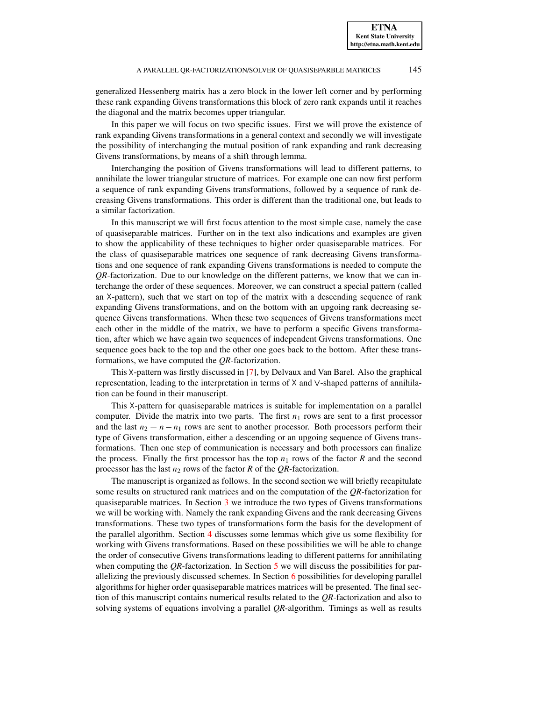generalized Hessenberg matrix has a zero block in the lower left corner and by performing these rank expanding Givens transformations this block of zero rank expands until it reaches the diagonal and the matrix becomes upper triangular.

In this paper we will focus on two specific issues. First we will prove the existence of rank expanding Givens transformations in a general context and secondly we will investigate the possibility of interchanging the mutual position of rank expanding and rank decreasing Givens transformations, by means of a shift through lemma.

Interchanging the position of Givens transformations will lead to different patterns, to annihilate the lower triangular structure of matrices. For example one can now first perform a sequence of rank expanding Givens transformations, followed by a sequence of rank decreasing Givens transformations. This order is different than the traditional one, but leads to a similar factorization.

In this manuscript we will first focus attention to the most simple case, namely the case of quasiseparable matrices. Further on in the text also indications and examples are given to show the applicability of these techniques to higher order quasiseparable matrices. For the class of quasiseparable matrices one sequence of rank decreasing Givens transformations and one sequence of rank expanding Givens transformations is needed to compute the *QR*-factorization. Due to our knowledge on the different patterns, we know that we can interchange the order of these sequences. Moreover, we can construct a special pattern (called an  $X$ -pattern), such that we start on top of the matrix with a descending sequence of rank expanding Givens transformations, and on the bottom with an upgoing rank decreasing sequence Givens transformations. When these two sequences of Givens transformations meet each other in the middle of the matrix, we have to perform a specific Givens transformation, after which we have again two sequences of independent Givens transformations. One sequence goes back to the top and the other one goes back to the bottom. After these transformations, we have computed the *QR*-factorization.

This  $X$ -pattern was firstly discussed in [\[7\]](#page-22-4), by Delvaux and Van Barel. Also the graphical representation, leading to the interpretation in terms of  $X$  and  $\vee$ -shaped patterns of annihilation can be found in their manuscript.

This X-pattern for quasiseparable matrices is suitable for implementation on a parallel computer. Divide the matrix into two parts. The first  $n_1$  rows are sent to a first processor and the last  $n_2 = n - n_1$  rows are sent to another processor. Both processors perform their type of Givens transformation, either a descending or an upgoing sequence of Givens transformations. Then one step of communication is necessary and both processors can finalize the process. Finally the first processor has the top  $n_1$  rows of the factor  $R$  and the second processor has the last  $n_2$  rows of the factor *R* of the *QR*-factorization.

The manuscript is organized as follows. In the second section we will briefly recapitulate some results on structured rank matrices and on the computation of the *QR*-factorization for quasiseparable matrices. In Section [3](#page-3-0) we introduce the two types of Givens transformations we will be working with. Namely the rank expanding Givens and the rank decreasing Givens transformations. These two types of transformations form the basis for the development of the parallel algorithm. Section [4](#page-7-0) discusses some lemmas which give us some flexibility for working with Givens transformations. Based on these possibilities we will be able to change the order of consecutive Givens transformations leading to different patterns for annihilating when computing the *QR*-factorization. In Section [5](#page-14-0) we will discuss the possibilities for parallelizing the previously discussed schemes. In Section  $6$  possibilities for developing parallel algorithms for higher order quasiseparable matrices matrices will be presented. The final section of this manuscript contains numerical results related to the *QR*-factorization and also to solving systems of equations involving a parallel *QR*-algorithm. Timings as well as results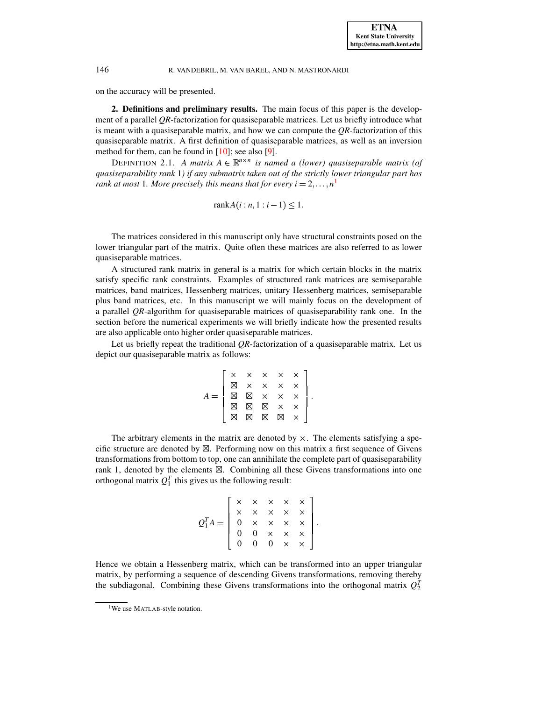on the accuracy will be presented.

**2. Definitions and preliminary results.** The main focus of this paper is the development of a parallel *QR*-factorization for quasiseparable matrices. Let us briefly introduce what is meant with a quasiseparable matrix, and how we can compute the *QR*-factorization of this quasiseparable matrix. A first definition of quasiseparable matrices, as well as an inversion method for them, can be found in  $[10]$ ; see also [\[9\]](#page-22-6).

DEFINITION 2.1. A matrix  $A \in \mathbb{R}^{n \times n}$  is named a (lower) quasiseparable matrix (of *quasiseparability rank* 1*) if any submatrix taken out of the strictly lower triangular part has rank at most [1](#page-2-0). More precisely this means that for every*  $i = 2, \ldots, n^1$ 

$$
rank A(i:n, 1:i-1) \le 1.
$$

The matrices considered in this manuscript only have structural constraints posed on the lower triangular part of the matrix. Quite often these matrices are also referred to as lower quasiseparable matrices.

A structured rank matrix in general is a matrix for which certain blocks in the matrix satisfy specific rank constraints. Examples of structured rank matrices are semiseparable matrices, band matrices, Hessenberg matrices, unitary Hessenberg matrices, semiseparable plus band matrices, etc. In this manuscript we will mainly focus on the development of a parallel *QR*-algorithm for quasiseparable matrices of quasiseparability rank one. In the section before the numerical experiments we will briefly indicate how the presented results are also applicable onto higher order quasiseparable matrices.

Let us briefly repeat the traditional *OR*-factorization of a quasiseparable matrix. Let us depict our quasiseparable matrix as follows:

| $\begin{array}{cccccc} &\times&\times&\times&\times&\times\\ &\searrow&\times&\times&\times&\times\\ &\searrow&\times&\times&\times&\times\\ &\boxtimes&\boxtimes&\times&\times&\times\\ &\boxtimes&\boxtimes&\boxtimes&\times&\times\\ &\boxtimes&\boxtimes&\boxtimes&\boxtimes&\times\end{array}$ |  |  |  |  |
|-----------------------------------------------------------------------------------------------------------------------------------------------------------------------------------------------------------------------------------------------------------------------------------------------------|--|--|--|--|

The arbitrary elements in the matrix are denoted by  $\times$ . The elements satisfying a specific structure are denoted by  $\boxtimes$ . Performing now on this matrix a first sequence of Givens transformations from bottom to top, one can annihilate the complete part of quasiseparability rank 1, denoted by the elements  $\boxtimes$ . Combining all these Givens transformations into one orthogonal matrix  $Q_1^T$  this gives us the following result:

$$
Q_1^T A = \left[ \begin{array}{cccc} \times & \times & \times & \times & \times \\ \times & \times & \times & \times & \times \\ 0 & \times & \times & \times & \times \\ 0 & 0 & \times & \times & \times \\ 0 & 0 & 0 & \times & \times \end{array} \right].
$$

Hence we obtain a Hessenberg matrix, which can be transformed into an upper triangular matrix, by performing a sequence of descending Givens transformations, removing thereby the subdiagonal. Combining these Givens transformations into the orthogonal matrix  $Q_2^T$ 

<span id="page-2-0"></span><sup>&</sup>lt;sup>1</sup>We use MATLAB-style notation.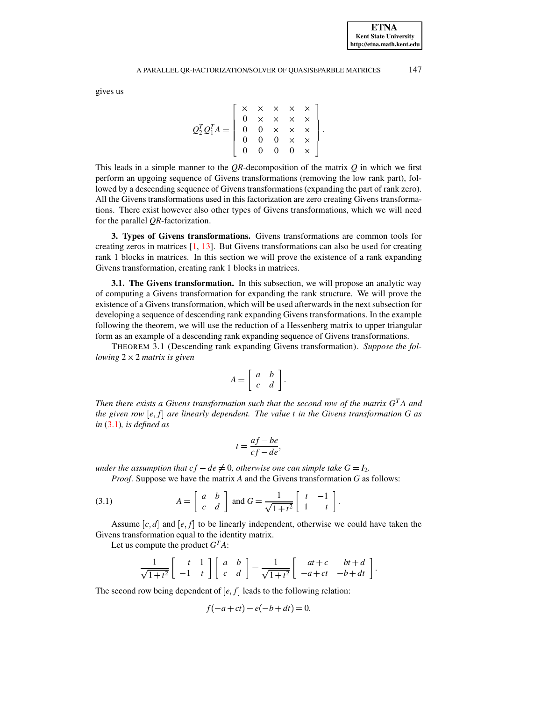#### A PARALLEL QR-FACTORIZATION/SOLVER OF QUASISEPARBLE MATRICES 147

gives us

$$
Q_2^T Q_1^T A = \left[ \begin{array}{cccc} \times & \times & \times & \times & \times \\ 0 & \times & \times & \times & \times \\ 0 & 0 & \times & \times & \times \\ 0 & 0 & 0 & \times & \times \\ 0 & 0 & 0 & 0 & \times \end{array} \right].
$$

This leads in a simple manner to the *QR*-decomposition of the matrix *Q* in which we first perform an upgoing sequence of Givens transformations (removing the low rank part), followed by a descending sequence of Givens transformations(expanding the part of rank zero). All the Givens transformations used in this factorization are zero creating Givens transformations. There exist however also other types of Givens transformations, which we will need for the parallel *QR*-factorization.

<span id="page-3-0"></span>**3. Types of Givens transformations.** Givens transformations are common tools for creating zeros in matrices [\[1,](#page-21-3) [13\]](#page-22-7). But Givens transformations can also be used for creating rank 1 blocks in matrices. In this section we will prove the existence of a rank expanding Givens transformation, creating rank 1 blocks in matrices.

**3.1. The Givens transformation.** In this subsection, we will propose an analytic way of computing a Givens transformation for expanding the rank structure. We will prove the existence of a Givens transformation, which will be used afterwards in the next subsection for developing a sequence of descending rank expanding Givens transformations. In the example following the theorem, we will use the reduction of a Hessenberg matrix to upper triangular form as an example of a descending rank expanding sequence of Givens transformations.

<span id="page-3-2"></span>THEOREM 3.1 (Descending rank expanding Givens transformation). *Suppose the following* 2 2 *matrix is given*

$$
A = \left[ \begin{array}{cc} a & b \\ c & d \end{array} \right].
$$

*Then there exists a Givens transformation such that the second row of the matrix G <sup>T</sup>A and the* given row  $[e, f]$  are linearly dependent. The value *t* in the Givens *transformation* G as *in* [\(3.1\)](#page-3-1)*, is defined as*

$$
t = \frac{af - be}{cf - de},
$$

<span id="page-3-1"></span>the contract of the contract of the contract of

*under* the assumption that  $cf - de \neq 0$ , otherwise one can simple take  $G = I_2$ .

*Proof*. Suppose we have the matrix *A* and the Givens transformation *G* as follows:

(3.1) 
$$
A = \begin{bmatrix} a & b \\ c & d \end{bmatrix} \text{ and } G = \frac{1}{\sqrt{1+t^2}} \begin{bmatrix} t & -1 \\ 1 & t \end{bmatrix}.
$$

Assume  $[c, d]$  and  $[e, f]$  to be linearly independent, otherwise we could have taken the Givens transformation equal to the identity matrix.

Let us compute the product  $G<sup>T</sup>A$ :

$$
\frac{1}{\sqrt{1+t^2}}\begin{bmatrix} t & 1 \ -1 & t \end{bmatrix}\begin{bmatrix} a & b \ c & d \end{bmatrix} = \frac{1}{\sqrt{1+t^2}}\begin{bmatrix} at+c & bt+d \ -a+ct & -b+dt \end{bmatrix}.
$$

The second row being dependent of  $[e, f]$  leads to the following relation:

$$
f(-a + ct) - e(-b + dt) = 0.
$$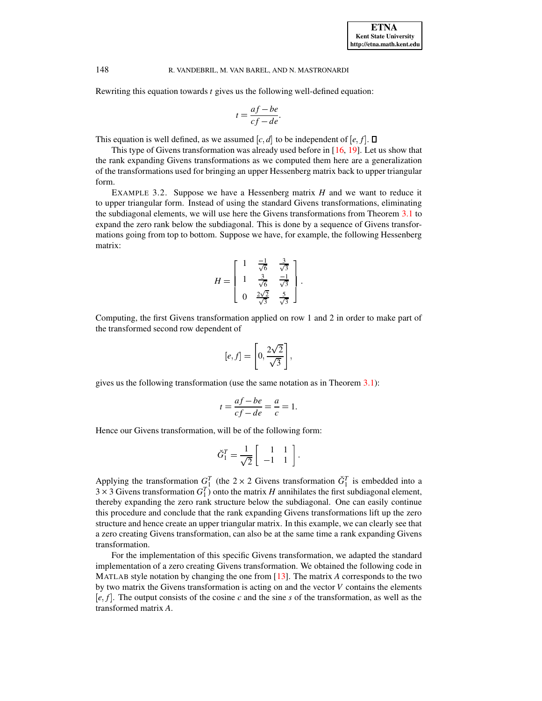Rewriting this equation towards *t* gives us the following well-defined equation:

$$
t = \frac{af - be}{cf - de}.
$$

This equation is well defined, as we assumed  $[c, d]$  to be independent of  $[e, f]$ .  $\square$ 

This type of Givens transformation was already used before in [\[16,](#page-23-3) [19\]](#page-23-1). Let us show that the rank expanding Givens transformations as we computed them here are a generalization of the transformations used for bringing an upper Hessenberg matrix back to upper triangular form.

EXAMPLE 3.2. Suppose we have a Hessenberg matrix *H* and we want to reduce it to upper triangular form. Instead of using the standard Givens transformations, eliminating the subdiagonal elements, we will use here the Givens transformations from Theorem [3.1](#page-3-2) to expand the zero rank below the subdiagonal. This is done by a sequence of Givens transformations going from top to bottom. Suppose we have, for example, the following Hessenberg matrix:

$$
H = \begin{bmatrix} 1 & \frac{-1}{\sqrt{6}} & \frac{3}{\sqrt{3}} \\ 1 & \frac{3}{\sqrt{6}} & \frac{-1}{\sqrt{3}} \\ 0 & \frac{2\sqrt{2}}{\sqrt{3}} & \frac{5}{\sqrt{3}} \end{bmatrix}.
$$

Computing, the first Givens transformation applied on row 1 and 2 in order to make part of the transformed second row dependent of

$$
[e,f] = \left[0, \frac{2\sqrt{2}}{\sqrt{3}}\right],
$$

gives us the following transformation (use the same notation as in Theorem [3.1\)](#page-3-2):

$$
t = \frac{af - be}{cf - de} = \frac{a}{c} = 1.
$$

Hence our Givens transformation, will be of the following form:

$$
\breve{G}_1^T = \frac{1}{\sqrt{2}} \left[ \begin{array}{rr} 1 & 1 \\ -1 & 1 \end{array} \right].
$$

Applying the transformation  $G_1^T$  (the 2 × 2 Givens transformation  $\check{G}_1^T$  is embedded into a  $3 \times 3$  Givens transformation  $G_1^T$ ) onto the matrix *H* annihilates the first subdiagonal element, thereby expanding the zero rank structure below the subdiagonal. One can easily continue this procedure and conclude that the rank expanding Givens transformations lift up the zero structure and hence create an upper triangular matrix. In this example, we can clearly see that a zero creating Givens transformation, can also be at the same time a rank expanding Givens transformation.

For the implementation of this specific Givens transformation, we adapted the standard implementation of a zero creating Givens transformation. We obtained the following code in MATLAB style notation by changing the one from [\[13\]](#page-22-7). The matrix *A* corresponds to the two by two matrix the Givens transformation is acting on and the vector *V* contains the elements  $[e, f]$ . The output consists of the cosine *c* and the sine *s* of the transformation, as well as the transformed matrix *A*.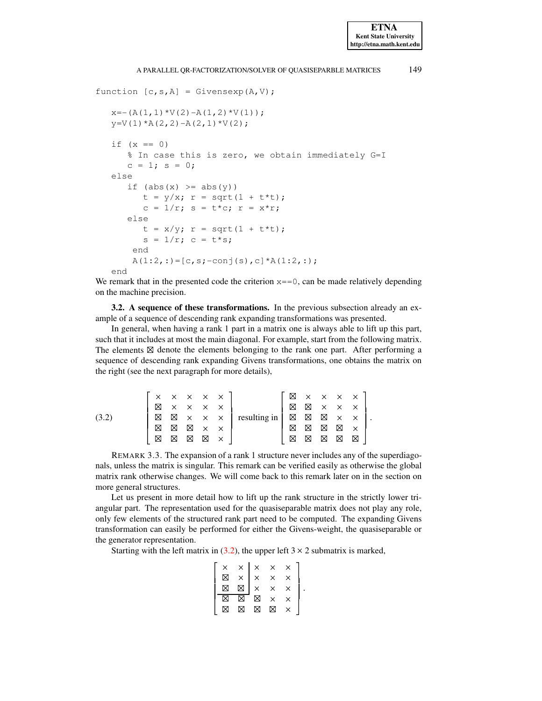### A PARALLEL QR-FACTORIZATION/SOLVER OF QUASISEPARBLE MATRICES 149

```
function [c, s, A] = Givensexp(A, V);x=- (A(1,1)*V(2)-A(1,2)*V(1));y=V(1) * A(2, 2) - A(2, 1) * V(2);
   if (x == 0)% In case this is zero, we obtain immediately G=I
      c = 1; s = 0;else
      if (abs(x) \geq abs(y))t = y/x; r = sqrt(1 + t*t);c = 1/r; s = t*c; r = x*r;
      else
         t = x/y; r = sqrt(1 + t*t);s = 1/r; c = t*s;
       end
       A(1:2,:)=[c,s;-conj(s),c]*A(1:2,:);end
```
We remark that in the presented code the criterion  $x == 0$ , can be made relatively depending on the machine precision.

**3.2. A sequence of these transformations.** In the previous subsection already an example of a sequence of descending rank expanding transformations was presented.

In general, when having a rank 1 part in a matrix one is always able to lift up this part, such that it includes at most the main diagonal. For example, start from the following matrix. The elements  $\boxtimes$  denote the elements belonging to the rank one part. After performing a sequence of descending rank expanding Givens transformations, one obtains the matrix on the right (see the next paragraph for more details),

<span id="page-5-0"></span>

|       |                                                                                                                             |   |             |                                                                                                                                                                                                                                                                                                                         |              |              | $\boxtimes$                                                                                                                                                                                                                                                                                                       |             |                            |             | $\times$ $\times$ $\times$ $\times$ |  |
|-------|-----------------------------------------------------------------------------------------------------------------------------|---|-------------|-------------------------------------------------------------------------------------------------------------------------------------------------------------------------------------------------------------------------------------------------------------------------------------------------------------------------|--------------|--------------|-------------------------------------------------------------------------------------------------------------------------------------------------------------------------------------------------------------------------------------------------------------------------------------------------------------------|-------------|----------------------------|-------------|-------------------------------------|--|
|       | $\begin{bmatrix} \times & \times & \times & \times & \times \\ \boxtimes & \times & \times & \times & \times \end{bmatrix}$ |   |             |                                                                                                                                                                                                                                                                                                                         |              |              | ⊠                                                                                                                                                                                                                                                                                                                 | $\boxtimes$ | $\times$ $\times$ $\times$ |             |                                     |  |
| (3.2) | $\boxtimes$                                                                                                                 |   |             | $\begin{array}{c} \begin{array}{c} \begin{array}{c} \begin{array}{c} \end{array}\\ \times \end{array} & \begin{array}{c} \end{array}\\ \times \end{array} & \begin{array}{c} \end{array} & \begin{array}{c} \end{array}\\ \times \end{array} & \begin{array}{c} \end{array} & \begin{array}{c} \end{array} \end{array}$ |              | resulting in | $\begin{matrix} \boxtimes \end{matrix} \begin{matrix} \boxtimes \end{matrix} \begin{matrix} \boxtimes \end{matrix} \begin{matrix} \boxtimes \end{matrix} \begin{matrix} \boxtimes \end{matrix} \begin{matrix} \boxtimes \end{matrix} \begin{matrix} \boxtimes \end{matrix} \begin{matrix} \boxtimes \end{matrix}$ |             |                            |             |                                     |  |
|       | ⊠                                                                                                                           | Σ | $\boxtimes$ | $\times$ $\times$                                                                                                                                                                                                                                                                                                       |              |              | ⊠                                                                                                                                                                                                                                                                                                                 | ⊠           | $\boxtimes$                | $\boxtimes$ | $\mathsf{X}$                        |  |
|       | ⊠                                                                                                                           | ⊠ | ⊠           | ⊠                                                                                                                                                                                                                                                                                                                       | $\mathbf{x}$ |              | ⊠                                                                                                                                                                                                                                                                                                                 | ⊠           | ⊠                          | ⊠           | ⊠                                   |  |

REMARK 3.3. The expansion of a rank 1 structure never includes any of the superdiagonals, unless the matrix is singular. This remark can be verified easily as otherwise the global matrix rank otherwise changes. We will come back to this remark later on in the section on more general structures.

Let us present in more detail how to lift up the rank structure in the strictly lower triangular part. The representation used for the quasiseparable matrix does not play any role, only few elements of the structured rank part need to be computed. The expanding Givens transformation can easily be performed for either the Givens-weight, the quasiseparable or the generator representation.

Starting with the left matrix in [\(3.2\)](#page-5-0), the upper left  $3 \times 2$  submatrix is marked,

| $\begin{array}{c}\times \\ \boxtimes \end{array}$ |  |  |  |
|---------------------------------------------------|--|--|--|
|                                                   |  |  |  |
|                                                   |  |  |  |
|                                                   |  |  |  |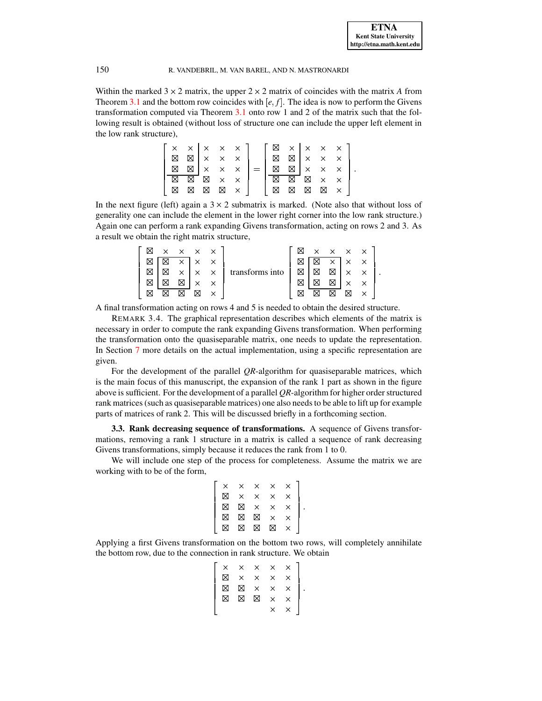Within the marked  $3 \times 2$  matrix, the upper  $2 \times 2$  matrix of coincides with the matrix *A* from Theorem [3.1](#page-3-2) and the bottom row coincides with  $[e, f]$ . The idea is now to perform the Givens transformation computed via Theorem [3.1](#page-3-2) onto row 1 and 2 of the matrix such that the following result is obtained (without loss of structure one can include the upper left element in the low rank structure),

|   |                                        |              |                      | $\times$ $\times$ $\times$ $\times$ $\times$ $\}$ |     |             |                                        |             |                               | $\boxtimes \times \times \times \times \overline{ }$ |  |
|---|----------------------------------------|--------------|----------------------|---------------------------------------------------|-----|-------------|----------------------------------------|-------------|-------------------------------|------------------------------------------------------|--|
| ⊠ |                                        |              |                      | $\boxtimes$ $\times$ $\times$ $\times$            |     | $\boxtimes$ | $\boxtimes$ $\times$ $\times$ $\times$ |             |                               |                                                      |  |
| ⊠ | $\boxtimes$ $\times$ $\times$ $\times$ |              |                      |                                                   | $=$ | $\boxtimes$ |                                        |             |                               | $\boxtimes$ $\times$ $\times$ $\times$               |  |
| ⊠ |                                        | $X \times X$ |                      |                                                   |     | ⊠           | $\overline{\boxtimes}$                 |             | $\boxtimes$ $\times$ $\times$ |                                                      |  |
| M | $\boxtimes$                            |              | $\boxtimes$ $\times$ |                                                   |     | ⊠           | $\boxtimes$                            | $\boxtimes$ | ⊠ ×                           |                                                      |  |

In the next figure (left) again a  $3 \times 2$  submatrix is marked. (Note also that without loss of generality one can include the element in the lower right corner into the low rank structure.) Again one can perform a rank expanding Givens transformation, acting on rows 2 and 3. As a result we obtain the right matrix structure,

| $\times$ |          | $\times$ $\times$ $\times$ |              |                 | ⊠ |   |          | $\times$ $\times$ $\times$ $\times$ |  |
|----------|----------|----------------------------|--------------|-----------------|---|---|----------|-------------------------------------|--|
|          | $\times$ | $\overline{X}$             | $\mathbb{R}$ |                 |   | ⊠ | $\times$ | $\times$ $\times$                   |  |
| Χ        | $\times$ | $\times$                   | $\mathsf{X}$ | transforms into | ⊠ | ⊠ | ⊠        | $\times$                            |  |
|          | Χ        | ×                          |              |                 |   |   | X        | $\times$                            |  |
|          | ΙX       | ⊠                          | $\checkmark$ |                 |   |   | ⊠        | ⊠                                   |  |

A final transformation acting on rows 4 and 5 is needed to obtain the desired structure.

REMARK 3.4. The graphical representation describes which elements of the matrix is necessary in order to compute the rank expanding Givens transformation. When performing the transformation onto the quasiseparable matrix, one needs to update the representation. In Section [7](#page-17-0) more details on the actual implementation, using a specific representation are given.

For the development of the parallel *QR*-algorithm for quasiseparable matrices, which is the main focus of this manuscript, the expansion of the rank 1 part as shown in the figure above is sufficient. For the development of a parallel *QR*-algorithm for higher order structured rank matrices (such as quasiseparable matrices) one also needs to be able to lift up for example parts of matrices of rank 2. This will be discussed briefly in a forthcoming section.

**3.3. Rank decreasing sequence of transformations.** A sequence of Givens transformations, removing a rank 1 structure in a matrix is called a sequence of rank decreasing Givens transformations, simply because it reduces the rank from 1 to 0.

We will include one step of the process for completeness. Assume the matrix we are working with to be of the form,

$$
\left[\begin{array}{ccccccc}\times&\times&\times&\times&\times\\\boxtimes&\times&\times&\times&\times\\\boxtimes&\boxtimes&\times&\times&\times\\\boxtimes&\boxtimes&\boxtimes&\times&\times\\\boxtimes&\boxtimes&\boxtimes&\times&\times\\\end{array}\right].
$$

Applying a first Givens transformation on the bottom two rows, will completely annihilate the bottom row, due to the connection in rank structure. We obtain

|   |  | $\begin{array}{ccccc} \times & \times & \times & \times & \times & \times \\ & & \ddots & \ddots & \ddots & \ddots \end{array}$                                   |         |
|---|--|-------------------------------------------------------------------------------------------------------------------------------------------------------------------|---------|
| ⊠ |  |                                                                                                                                                                   | $\cdot$ |
|   |  | $\begin{array}{c c}\n\wedge & \wedge \\ \times & \times \\ \times & \times\n\end{array}$<br>$\begin{array}{c c}\n\wedge & \wedge \\ \times & \times\n\end{array}$ |         |
|   |  | $\bar{\mathsf{x}}$                                                                                                                                                |         |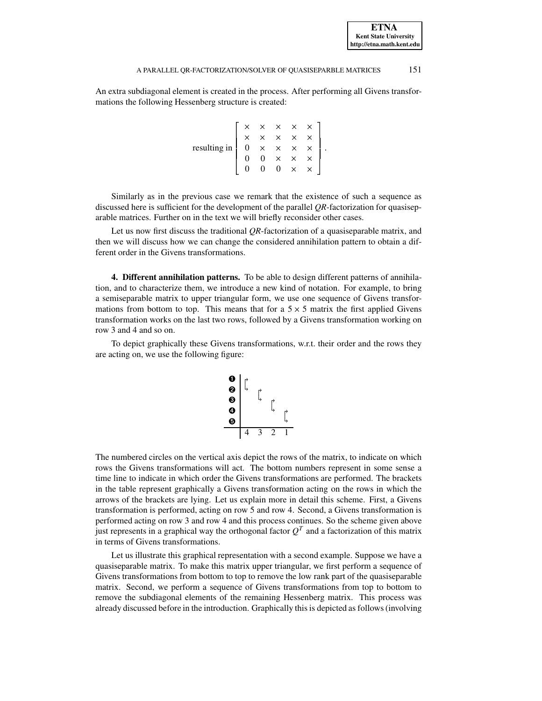#### A PARALLEL OR-FACTORIZATION/SOLVER OF QUASISEPARBLE MATRICES 151

An extra subdiagonal element is created in the process. After performing all Givens transformations the following Hessenberg structure is created:

> resulting in and the contract of the contract of  $\mathbb{R}$ . .. .  $0 \times \times \times \times$  .  $0 \quad 0 \quad \times \quad \times \quad \times$  $0 \quad 0 \quad \times \quad \times$ |<br>| the contract of the contract of the contract of the contract of the contract of the contract of the contract of

Similarly as in the previous case we remark that the existence of such a sequence as discussed here is sufficient for the development of the parallel *QR*-factorization for quasiseparable matrices. Further on in the text we will briefly reconsider other cases.

Let us now first discuss the traditional *QR*-factorization of a quasiseparable matrix, and then we will discuss how we can change the considered annihilation pattern to obtain a different order in the Givens transformations.

<span id="page-7-0"></span>**4. Different annihilation patterns.** To be able to design different patterns of annihilation, and to characterize them, we introduce a new kind of notation. For example, to bring a semiseparable matrix to upper triangular form, we use one sequence of Givens transformations from bottom to top. This means that for a  $5 \times 5$  matrix the first applied Givens transformation works on the last two rows, followed by a Givens transformation working on row 3 and 4 and so on.

To depict graphically these Givens transformations, w.r.t. their order and the rows they are acting on, we use the following figure:

$$
\begin{array}{c}\n\bullet \\
\bullet \\
\bullet \\
\bullet \\
\bullet \\
\bullet \\
\bullet \\
\end{array}
$$

The numbered circles on the vertical axis depict the rows of the matrix, to indicate on which rows the Givens transformations will act. The bottom numbers represent in some sense a time line to indicate in which order the Givens transformations are performed. The brackets in the table represent graphically a Givens transformation acting on the rows in which the arrows of the brackets are lying. Let us explain more in detail this scheme. First, a Givens transformation is performed, acting on row 5 and row 4. Second, a Givens transformation is performed acting on row 3 and row 4 and this process continues. So the scheme given above just represents in a graphical way the orthogonal factor  $Q^T$  and a factorization of this matrix in terms of Givens transformations.

Let us illustrate this graphical representation with a second example. Suppose we have a quasiseparable matrix. To make this matrix upper triangular, we first perform a sequence of Givens transformations from bottom to top to remove the low rank part of the quasiseparable matrix. Second, we perform a sequence of Givens transformations from top to bottom to remove the subdiagonal elements of the remaining Hessenberg matrix. This process was already discussed before in the introduction. Graphically this is depicted as follows(involving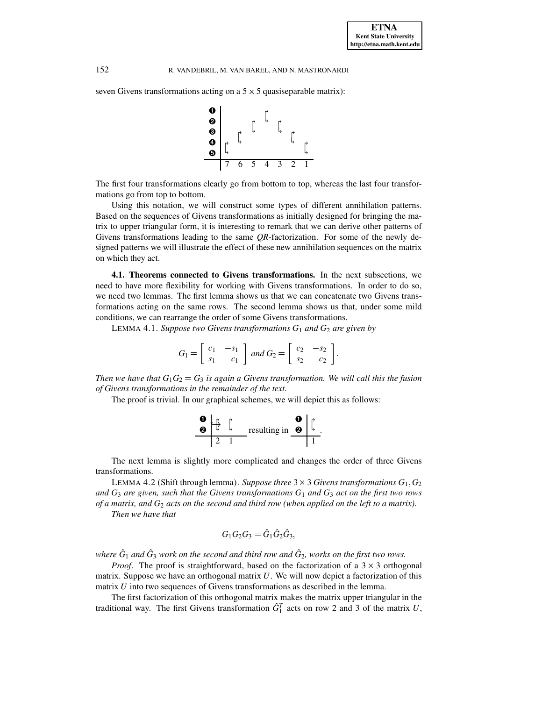seven Givens transformations acting on a  $5 \times 5$  quasiseparable matrix):



The first four transformations clearly go from bottom to top, whereas the last four transformations go from top to bottom.

Using this notation, we will construct some types of different annihilation patterns. Based on the sequences of Givens transformations as initially designed for bringing the matrix to upper triangular form, it is interesting to remark that we can derive other patterns of Givens transformations leading to the same *QR*-factorization. For some of the newly designed patterns we will illustrate the effect of these new annihilation sequences on the matrix on which they act.

**4.1. Theorems connected to Givens transformations.** In the next subsections, we need to have more flexibility for working with Givens transformations. In order to do so, we need two lemmas. The first lemma shows us that we can concatenate two Givens transformations acting on the same rows. The second lemma shows us that, under some mild conditions, we can rearrange the order of some Givens transformations.

LEMMA 4.1. *Suppose two Givens transformations*  $G_1$  *and*  $G_2$  *are given by* 

$$
G_1 = \left[ \begin{array}{cc} c_1 & -s_1 \\ s_1 & c_1 \end{array} \right] \text{ and } G_2 = \left[ \begin{array}{cc} c_2 & -s_2 \\ s_2 & c_2 \end{array} \right].
$$

*Then* we have that  $G_1G_2 = G_3$  *is again a Givens transformation. We will call this the fusion of Givens transformations in the remainder of the text.*

The proof is trivial. In our graphical schemes, we will depict this as follows:



The next lemma is slightly more complicated and changes the order of three Givens transformations.

LEMMA 4.2 (Shift through lemma). *Suppose three*  $3 \times 3$  *Givens transformations*  $G_1, G_2$ *and*  $G_3$  *are given, such that the Givens transformations*  $G_1$  *and*  $G_3$  *act on the first two rows* of a matrix, and  $G_2$  acts on the second and third row (when applied on the left to a matrix).

*Then we have that*

$$
G_1G_2G_3=\hat{G}_1\hat{G}_2\hat{G}_3,
$$

where  $\hat G_1$  and  $\hat G_3$  work on the second and third row and  $\hat G_2$ , works on the first two rows.

*Proof.* The proof is straightforward, based on the factorization of a  $3 \times 3$  orthogonal matrix. Suppose we have an orthogonal matrix *U*. We will now depict a factorization of this matrix *U* into two sequences of Givens transformations as described in the lemma.

The first factorization of this orthogonal matrix makes the matrix upper triangular in the traditional way. The first Givens transformation  $\hat{G}_1^T$  acts on row 2 and 3 of the matrix *U*,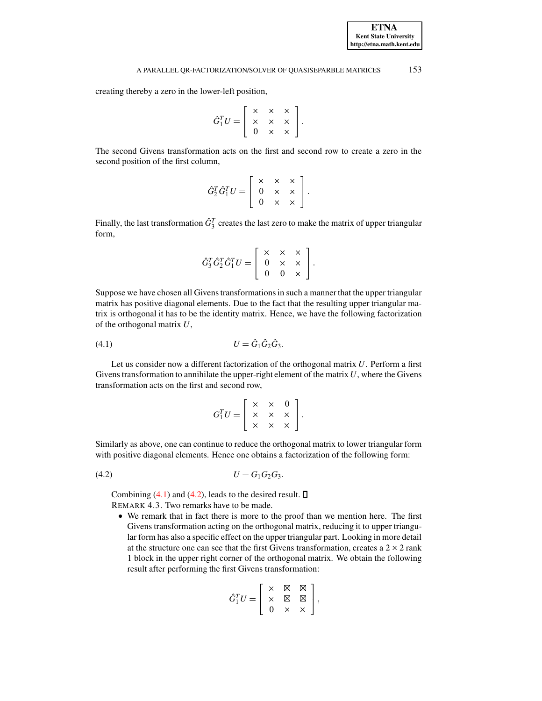**ETNA**

# A PARALLEL OR-FACTORIZATION/SOLVER OF QUASISEPARBLE MATRICES 153

creating thereby a zero in the lower-left position,

$$
\hat{G}_1^T U = \left[ \begin{array}{ccc} \times & \times & \times \\ \times & \times & \times \\ 0 & \times & \times \end{array} \right].
$$

The second Givens transformation acts on the first and second row to create a zero in the second position of the first column,

$$
\hat{G}_2^T \hat{G}_1^T U = \left[ \begin{array}{ccc} \times & \times & \times \\ 0 & \times & \times \\ 0 & \times & \times \end{array} \right].
$$

Finally, the last transformation  $\hat{G}^T_3$  creates the last zero to make the matrix of upper triangular form,

$$
\hat{G}_3^T \hat{G}_2^T \hat{G}_1^T U = \left[ \begin{array}{ccc} \times & \times & \times \\ 0 & \times & \times \\ 0 & 0 & \times \end{array} \right].
$$

Suppose we have chosen all Givens transformations in such a manner that the upper triangular matrix has positive diagonal elements. Due to the fact that the resulting upper triangular matrix is orthogonal it has to be the identity matrix. Hence, we have the following factorization of the orthogonal matrix *U*,

<span id="page-9-0"></span>(4.1) 
$$
U = \hat{G}_1 \hat{G}_2 \hat{G}_3.
$$

Let us consider now a different factorization of the orthogonal matrix *U*. Perform a first Givens transformation to annihilate the upper-right element of the matrix  $U$ , where the Givens transformation acts on the first and second row,

<span id="page-9-1"></span>
$$
G_1^T U = \left[ \begin{array}{ccc} \times & \times & 0 \\ \times & \times & \times \\ \times & \times & \times \end{array} \right].
$$

Similarly as above, one can continue to reduce the orthogonal matrix to lower triangular form with positive diagonal elements. Hence one obtains a factorization of the following form:

 $U = G_1 G_2 G_3$ 

Combining  $(4.1)$  and  $(4.2)$ , leads to the desired result.  $\Box$ REMARK 4.3. Two remarks have to be made.

<sup>6</sup> We remark that in fact there is more to the proof than we mention here. The first Givens transformation acting on the orthogonal matrix, reducing it to upper triangular form has also a specific effect on the upper triangular part. Looking in more detail at the structure one can see that the first Givens transformation, creates a  $2 \times 2$  rank 1 block in the upper right corner of the orthogonal matrix. We obtain the following result after performing the first Givens transformation:

$$
\hat{G}_1^TU=\left[\begin{array}{ccc} \times & \boxtimes & \boxtimes \\ \times & \boxtimes & \boxtimes \\ 0 & \times & \times \end{array}\right],
$$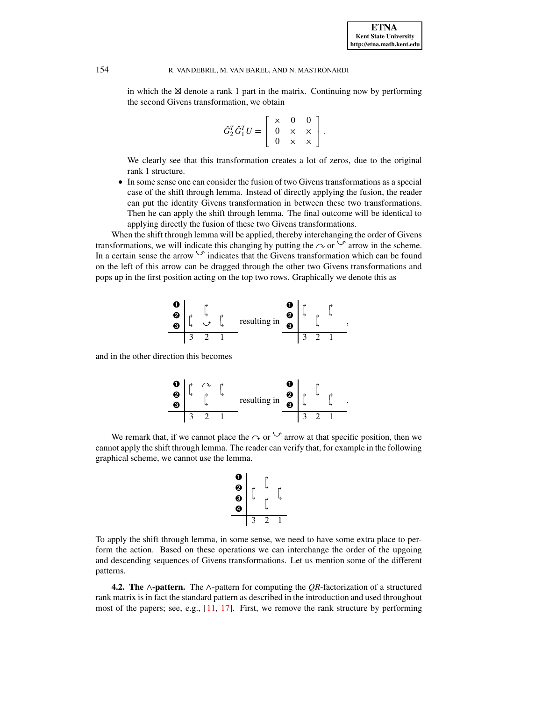in which the  $\boxtimes$  denote a rank 1 part in the matrix. Continuing now by performing the second Givens transformation, we obtain

$$
\hat{G}_2^T \hat{G}_1^T U = \left[ \begin{array}{ccc} \times & 0 & 0 \\ 0 & \times & \times \\ 0 & \times & \times \end{array} \right].
$$

We clearly see that this transformation creates a lot of zeros, due to the original rank 1 structure.

<sup>6</sup> In some sense one can consider the fusion of two Givens transformations as a special case of the shift through lemma. Instead of directly applying the fusion, the reader can put the identity Givens transformation in between these two transformations. Then he can apply the shift through lemma. The final outcome will be identical to applying directly the fusion of these two Givens transformations.

When the shift through lemma will be applied, thereby interchanging the order of Givens transformations, we will indicate this changing by putting the  $\sim$  or  $\vee$  arrow in the scheme. In a certain sense the arrow  $\vee$  indicates that the Givens transformation which can be found on the left of this arrow can be dragged through the other two Givens transformations and pops up in the first position acting on the top two rows. Graphically we denote this as



and in the other direction this becomes

➊ <sup>0</sup> <sup>7</sup> <sup>0</sup> ➋ <sup>1</sup> <sup>0</sup> <sup>1</sup> ➌ <sup>1</sup> 3 2 1 resulting in ➊ <sup>0</sup> ➋ <sup>0</sup> <sup>1</sup> <sup>0</sup> ➌ <sup>1</sup> <sup>1</sup> 3 2 1

We remark that, if we cannot place the  $\sim$  or  $\vee$  arrow at that specific position, then we cannot apply the shift through lemma. The reader can verify that, for example in the following graphical scheme, we cannot use the lemma.

$$
\begin{array}{c}\n\bullet \\
\bullet \\
\bullet \\
\bullet \\
\end{array}\n\qquad\n\begin{array}{ccc}\n\uparrow \\
\uparrow \\
\uparrow \\
\uparrow \\
\end{array}
$$

To apply the shift through lemma, in some sense, we need to have some extra place to perform the action. Based on these operations we can interchange the order of the upgoing and descending sequences of Givens transformations. Let us mention some of the different patterns.

**4.2.** The  $\land$ -pattern. The  $\land$ -pattern for computing the *QR*-factorization of a structured rank matrix is in fact the standard pattern as described in the introduction and used throughout most of the papers; see, e.g., [\[11,](#page-22-1) [17\]](#page-23-0). First, we remove the rank structure by performing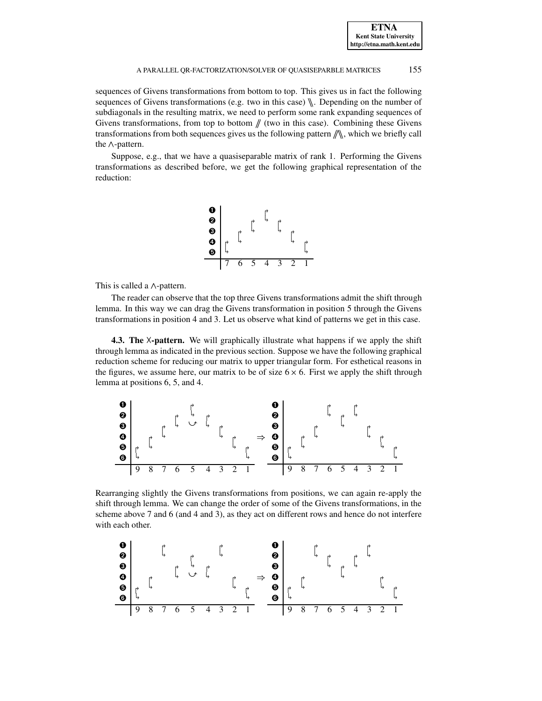**ETNA Kent State University http://etna.math.kent.edu**

#### A PARALLEL OR-FACTORIZATION/SOLVER OF QUASISEPARBLE MATRICES 155

sequences of Givens transformations from bottom to top. This gives us in fact the following sequences of Givens transformations (e.g. two in this case)  $\mathcal{N}$ . Depending on the number of subdiagonals in the resulting matrix, we need to perform some rank expanding sequences of Givens transformations, from top to bottom  $\#$  (two in this case). Combining these Givens transformations from both sequences gives us the following pattern  $\mathbb{N}$ , which we briefly call the  $\wedge$ -pattern.

Suppose, e.g., that we have a quasiseparable matrix of rank 1. Performing the Givens transformations as described before, we get the following graphical representation of the reduction:



This is called a  $\wedge$ -pattern.

The reader can observe that the top three Givens transformations admit the shift through lemma. In this way we can drag the Givens transformation in position 5 through the Givens transformations in position 4 and 3. Let us observe what kind of patterns we get in this case.

<span id="page-11-0"></span>**4.3. The**  $X$ -**pattern.** We will graphically illustrate what happens if we apply the shift through lemma as indicated in the previous section. Suppose we have the following graphical reduction scheme for reducing our matrix to upper triangular form. For esthetical reasons in the figures, we assume here, our matrix to be of size  $6 \times 6$ . First we apply the shift through lemma at positions 6, 5, and 4.



Rearranging slightly the Givens transformations from positions, we can again re-apply the shift through lemma. We can change the order of some of the Givens transformations, in the scheme above 7 and 6 (and 4 and 3), as they act on different rows and hence do not interfere with each other.

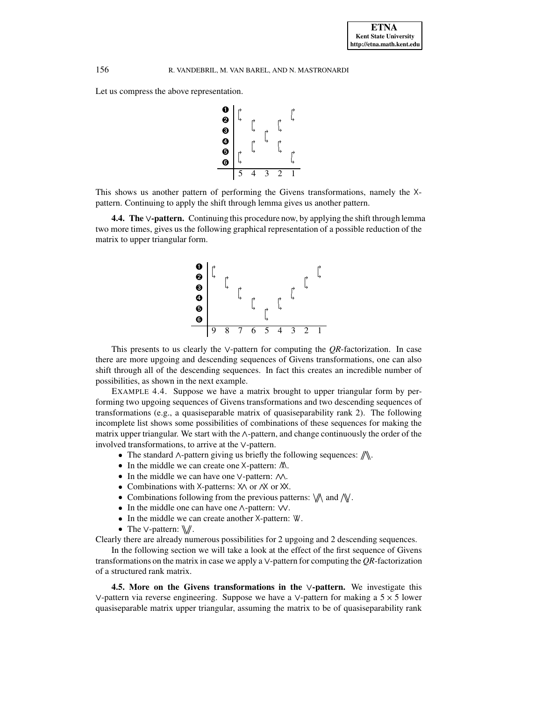Let us compress the above representation.



This shows us another pattern of performing the Givens transformations, namely the  $X$ pattern. Continuing to apply the shift through lemma gives us another pattern.

**4.4.** The  $\vee$ -pattern. Continuing this procedure now, by applying the shift through lemma two more times, gives us the following graphical representation of a possible reduction of the matrix to upper triangular form.



This presents to us clearly the  $\vee$ -pattern for computing the *QR*-factorization. In case there are more upgoing and descending sequences of Givens transformations, one can also shift through all of the descending sequences. In fact this creates an incredible number of possibilities, as shown in the next example.

<span id="page-12-0"></span>EXAMPLE 4.4. Suppose we have a matrix brought to upper triangular form by performing two upgoing sequences of Givens transformations and two descending sequences of transformations (e.g., a quasiseparable matrix of quasiseparability rank 2). The following incomplete list shows some possibilities of combinations of these sequences for making the matrix upper triangular. We start with the  $\land$ -pattern, and change continuously the order of the involved transformations, to arrive at the  $\vee$ -pattern.

- The standard  $\wedge$ -pattern giving us briefly the following sequences:  $\mathbb{N}$ .
- In the middle we can create one X-pattern:  $M$ .
- In the middle we can have one  $\vee$ -pattern:  $\wedge \wedge$ .
- Combinations with  $X$ -patterns:  $X \wedge$  or  $X$  or  $X$ .
- Combinations following from the previous patterns:  $\mathcal{W}$  and  $\mathcal{N}$ .
- In the middle one can have one  $\wedge$ -pattern:  $\vee\vee$ .
- In the middle we can create another  $X$ -pattern:  $W$ .
- The  $\vee$ -pattern:  $\mathbb{W}$ .

Clearly there are already numerous possibilities for 2 upgoing and 2 descending sequences.

In the following section we will take a look at the effect of the first sequence of Givens transformations on the matrix in case we apply a  $\vee$ -pattern for computing the *OR*-factorization of a structured rank matrix.

**4.5. More on the Givens transformations in the -pattern.** We investigate this  $\vee$ -pattern via reverse engineering. Suppose we have a  $\vee$ -pattern for making a 5  $\times$  5 lower quasiseparable matrix upper triangular, assuming the matrix to be of quasiseparability rank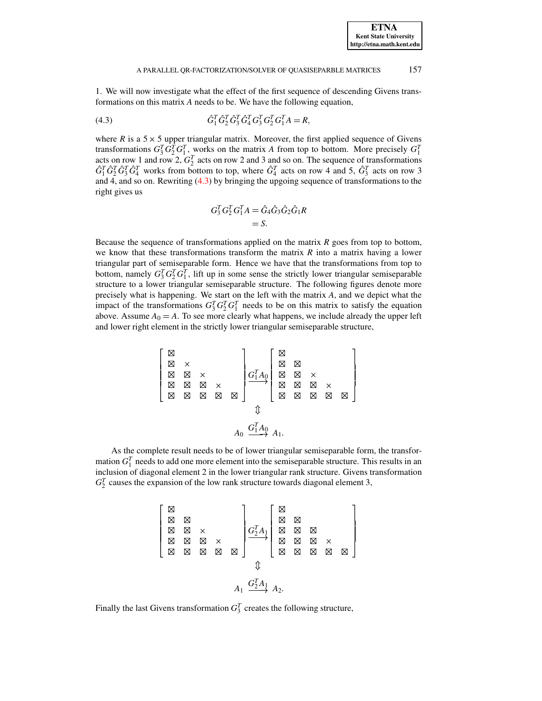#### A PARALLEL OR-FACTORIZATION/SOLVER OF QUASISEPARBLE MATRICES 157

1. We will now investigate what the effect of the first sequence of descending Givens transformations on this matrix *A* needs to be. We have the following equation,

(4.3) 
$$
\hat{G}_1^T \hat{G}_2^T \hat{G}_3^T \hat{G}_4^T G_3^T G_2^T G_1^T A = R,
$$

where  $R$  is a  $5 \times 5$  upper triangular matrix. Moreover, the first applied sequence of Givens transformations  $G_3^T G_2^T G_1^T$ , works on the matrix *A* from top to bottom. More precisely  $G_1^T$ acts on row 1 and row 2,  $G_2^T$  acts on row 2 and 3 and so on. The sequence of transformations  $\hat{G}_1^T \hat{G}_2^T \hat{G}_3^T \hat{G}_4^T$  works from bottom to top, where  $\hat{G}_4^T$  acts on row 4 and 5,  $\hat{G}_3^T$  acts on row 3 and 4, and so on. Rewriting [\(4.3\)](#page-13-0) by bringing the upgoing sequence of transformations to the right gives us

<span id="page-13-0"></span>
$$
G_3^T G_2^T G_1^T A = \hat{G}_4 \hat{G}_3 \hat{G}_2 \hat{G}_1 R
$$
  
= S.

Because the sequence of transformations applied on the matrix *R* goes from top to bottom, we know that these transformations transform the matrix *R* into a matrix having a lower triangular part of semiseparable form. Hence we have that the transformations from top to bottom, namely  $G_3^T G_2^T G_1^T$ , lift up in some sense the strictly lower triangular semiseparable structure to a lower triangular semiseparable structure. The following figures denote more precisely what is happening. We start on the left with the matrix *A*, and we depict what the impact of the transformations  $G_3^T G_2^T G_1^T$  needs to be on this matrix to satisfy the equation above. Assume  $A_0 = A$ . To see more clearly what happens, we include already the upper left and lower right element in the strictly lower triangular semiseparable structure,

$$
\begin{bmatrix}\n\boxtimes & & & & & \\
\boxtimes & \times & & & & \\
\boxtimes & \boxtimes & \boxtimes & \boxtimes & \boxtimes & \\
\boxtimes & \boxtimes & \boxtimes & \boxtimes & \boxtimes & \boxtimes\n\end{bmatrix}\n\begin{matrix}\nG_{1A_{0}}^{T} & \boxtimes & & & & \\
G_{1A_{0}}^{T} & \boxtimes & \boxtimes & & & & \\
\boxtimes & \boxtimes & \boxtimes & \boxtimes & & & \\
\boxtimes & \boxtimes & \boxtimes & \boxtimes & \boxtimes & \boxtimes\n\end{matrix}
$$

As the complete result needs to be of lower triangular semiseparable form, the transformation  $G_1^T$  needs to add one more element into the semiseparable structure. This results in an inclusion of diagonal element 2 in the lower triangular rank structure. Givens transformation  $G_2^T$  causes the expansion of the low rank structure towards diagonal element 3,

$$
\left[\begin{array}{c}\n\boxtimes \\
\boxtimes \\
\boxtimes \\
\boxtimes \\
\boxtimes \\
\boxtimes \\
\boxtimes \\
\end{array}\right.\times \left.\begin{array}{c}\n\boxtimes \\
\boxtimes \\
\boxtimes \\
\boxtimes \\
\boxtimes \\
\end{array}\right]
$$
\n
$$
\begin{array}{c}\nG_1^T A_1 \\
\boxtimes \\
\boxtimes \\
\boxtimes \\
\boxtimes \\
\boxtimes \\
\end{array}\right.
$$
\n
$$
\begin{array}{c}\n\boxtimes \\
\boxtimes \\
\boxtimes \\
\boxtimes \\
\boxtimes \\
\end{array}\right.
$$
\n
$$
A_1 \xrightarrow{G_2^T A_1} A_2.
$$

Finally the last Givens transformation  $G_3^T$  creates the following structure,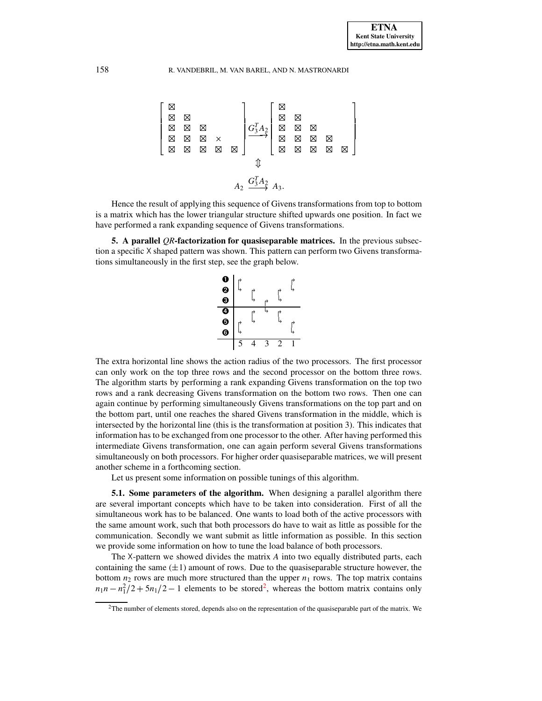$$
\begin{bmatrix}\n\boxtimes & & & & \\
\boxtimes & \boxtimes & & & \\
\boxtimes & \boxtimes & \boxtimes & & \\
\boxtimes & \boxtimes & \boxtimes & \boxtimes & \\
\boxtimes & \boxtimes & \boxtimes & \boxtimes & \boxtimes\n\end{bmatrix}\n\begin{bmatrix}\n\boxtimes & & & & \\
\boxtimes & \boxtimes & & & \\
\boxtimes & \boxtimes & & & \\
\boxtimes & \boxtimes & \boxtimes & \boxtimes & \\
\end{bmatrix}\n\begin{bmatrix}\n\boxtimes & & & & \\
\boxtimes & \boxtimes & & & \\
\boxtimes & \boxtimes & & & \\
\boxtimes & & & & \\
\end{bmatrix}\n\begin{bmatrix}\n\boxtimes & & & & \\
\boxtimes & \boxtimes & & & \\
\boxtimes & & & & \\
\boxtimes & & & & \\
\end{bmatrix}\n\begin{bmatrix}\n\boxtimes & & & & \\
\boxtimes & & & & \\
\boxtimes & & & & \\
\boxtimes & & & & \\
\end{bmatrix}
$$

Hence the result of applying this sequence of Givens transformations from top to bottom is a matrix which has the lower triangular structure shifted upwards one position. In fact we have performed a rank expanding sequence of Givens transformations.

<span id="page-14-0"></span>**5. A parallel** *QR***-factorization for quasiseparable matrices.** In the previous subsection a specific  $X$  shaped pattern was shown. This pattern can perform two Givens transformations simultaneously in the first step, see the graph below.



The extra horizontal line shows the action radius of the two processors. The first processor can only work on the top three rows and the second processor on the bottom three rows. The algorithm starts by performing a rank expanding Givens transformation on the top two rows and a rank decreasing Givens transformation on the bottom two rows. Then one can again continue by performing simultaneously Givens transformations on the top part and on the bottom part, until one reaches the shared Givens transformation in the middle, which is intersected by the horizontal line (this is the transformation at position 3). This indicates that information has to be exchanged from one processor to the other. After having performed this intermediate Givens transformation, one can again perform several Givens transformations simultaneously on both processors. For higher order quasiseparable matrices, we will present another scheme in a forthcoming section.

Let us present some information on possible tunings of this algorithm.

**5.1. Some parameters of the algorithm.** When designing a parallel algorithm there are several important concepts which have to be taken into consideration. First of all the simultaneous work has to be balanced. One wants to load both of the active processors with the same amount work, such that both processors do have to wait as little as possible for the communication. Secondly we want submit as little information as possible. In this section we provide some information on how to tune the load balance of both processors.

The X-pattern we showed divides the matrix *A* into two equally distributed parts, each containing the same  $(\pm 1)$  amount of rows. Due to the quasiseparable structure however, the bottom  $n_2$  rows are much more structured than the upper  $n_1$  rows. The top matrix contains  $n_1n - n_1^2/2 + 5n_1/2 - 1$  $n_1n - n_1^2/2 + 5n_1/2 - 1$  $n_1n - n_1^2/2 + 5n_1/2 - 1$  elements to be stored<sup>2</sup>, whereas the bottom matrix contains only

<span id="page-14-1"></span> $2$ The number of elements stored, depends also on the representation of the quasiseparable part of the matrix. We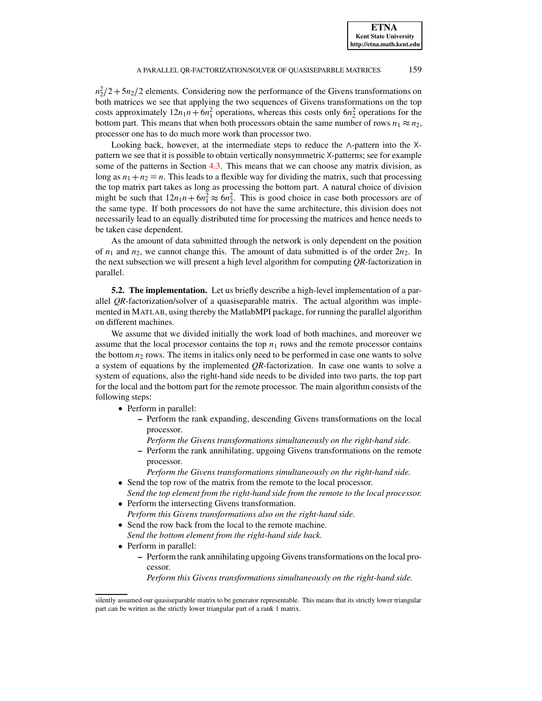$n_2^2/2 + 5n_2/2$  elements. Considering now the performance of the Givens transformations on both matrices we see that applying the two sequences of Givens transformations on the top costs approximately  $12n_1n + 6n_1^2$  operations, whereas this costs only  $6n_2^2$  operations for the bottom part. This means that when both processors obtain the same number of rows  $n_1 \approx n_2$ , processor one has to do much more work than processor two.

Looking back, however, at the intermediate steps to reduce the  $\land$ -pattern into the  $\land$ pattern we see that it is possible to obtain vertically nonsymmetric  $X$ -patterns; see for example some of the patterns in Section [4.3.](#page-11-0) This means that we can choose any matrix division, as long as  $n_1 + n_2 = n$ . This leads to a flexible way for dividing the matrix, such that processing the top matrix part takes as long as processing the bottom part. A natural choice of division might be such that  $12n_1n + 6n_1^2 \approx 6n_2^2$ . This is good choice in case both processors are of the same type. If both processors do not have the same architecture, this division does not necessarily lead to an equally distributed time for processing the matrices and hence needs to be taken case dependent.

As the amount of data submitted through the network is only dependent on the position of  $n_1$  and  $n_2$ , we cannot change this. The amount of data submitted is of the order  $2n_2$ . In the next subsection we will present a high level algorithm for computing *QR*-factorization in parallel.

**5.2. The implementation.** Let us briefly describe a high-level implementation of a parallel *QR*-factorization/solver of a quasiseparable matrix. The actual algorithm was implemented in MATLAB, using thereby the MatlabMPI package, for running the parallel algorithm on different machines.

We assume that we divided initially the work load of both machines, and moreover we assume that the local processor contains the top  $n_1$  rows and the remote processor contains the bottom  $n_2$  rows. The items in italics only need to be performed in case one wants to solve a system of equations by the implemented *QR*-factorization. In case one wants to solve a system of equations, also the right-hand side needs to be divided into two parts, the top part for the local and the bottom part for the remote processor. The main algorithm consists of the following steps:

- Perform in parallel:
	- **–** Perform the rank expanding, descending Givens transformations on the local processor.
	- *Perform the Givens transformations simultaneously on the right-hand side.*
	- **–** Perform the rank annihilating, upgoing Givens transformations on the remote processor.
		- *Perform the Givens transformations simultaneously on the right-hand side.*
- Send the top row of the matrix from the remote to the local processor. *Send the top element from the right-hand side from the remote to the local processor.*
- <sup>6</sup> Perform the intersecting Givens transformation. *Perform this Givens transformations also on the right-hand side.*
- <sup>6</sup> Send the row back from the local to the remote machine. *Send the bottom element from the right-hand side back.*
- Perform in parallel:
	- **–** Perform the rank annihilating upgoing Givenstransformations on the local processor.

*Perform this Givens transformations simultaneously on the right-hand side.*

silently assumed our quasiseparable matrix to be generator representable. This means that its strictly lower triangular part can be written as the strictly lower triangular part of a rank 1 matrix.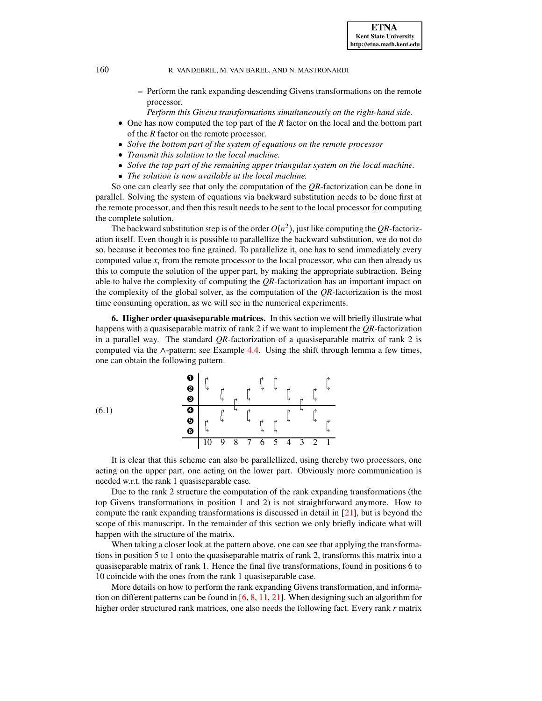- **–** Perform the rank expanding descending Givens transformations on the remote processor.
	- *Perform this Givens transformations simultaneously on the right-hand side.*
- One has now computed the top part of the *R* factor on the local and the bottom part of the *R* factor on the remote processor.
- <sup>6</sup> *Solve the bottom part of the system of equations on the remote processor*
- <sup>6</sup> *Transmit this solution to the local machine.*
- <sup>6</sup> *Solve the top part of the remaining upper triangular system on the local machine.*
- <sup>6</sup> *The solution is now available at the local machine.*

So one can clearly see that only the computation of the *QR*-factorization can be done in parallel. Solving the system of equations via backward substitution needs to be done first at the remote processor, and then this result needs to be sent to the local processor for computing the complete solution.

The backward substitution step is of the order  $O(n^2)$ , just like computing the QR-factorization itself. Even though it is possible to parallellize the backward substitution, we do not do so, because it becomes too fine grained. To parallelize it, one has to send immediately every computed value  $x_i$  from the remote processor to the local processor, who can then already us this to compute the solution of the upper part, by making the appropriate subtraction. Being able to halve the complexity of computing the *QR*-factorization has an important impact on the complexity of the global solver, as the computation of the *QR*-factorization is the most time consuming operation, as we will see in the numerical experiments.

<span id="page-16-0"></span>**6. Higher order quasiseparable matrices.** In this section we will briefly illustrate what happens with a quasiseparable matrix of rank 2 if we want to implement the *QR*-factorization in a parallel way. The standard *QR*-factorization of a quasiseparable matrix of rank 2 is computed via the  $\land$ -pattern; see Example [4.4.](#page-12-0) Using the shift through lemma a few times, one can obtain the following pattern.

(6.1) ➊ <sup>0</sup> <sup>020</sup> <sup>0</sup> ➋ <sup>1</sup> <sup>0</sup> <sup>0</sup> 1J1 <sup>0</sup> <sup>0</sup> <sup>1</sup> ➌ <sup>1</sup> <sup>0</sup> <sup>1</sup> <sup>1</sup> <sup>0</sup> <sup>1</sup> ➍ <sup>0</sup> <sup>1</sup> <sup>0</sup> <sup>0</sup> <sup>1</sup> <sup>0</sup> ➎ <sup>0</sup> <sup>1</sup> <sup>1</sup> <sup>020</sup> <sup>1</sup> <sup>1</sup> <sup>0</sup> ➏ <sup>1</sup> 1J1 <sup>1</sup> 10 9 8 7 6 5 4 3 2 1

It is clear that this scheme can also be parallellized, using thereby two processors, one acting on the upper part, one acting on the lower part. Obviously more communication is needed w.r.t. the rank 1 quasiseparable case.

Due to the rank 2 structure the computation of the rank expanding transformations (the top Givens transformations in position 1 and 2) is not straightforward anymore. How to compute the rank expanding transformations is discussed in detail in [\[21\]](#page-23-4), but is beyond the scope of this manuscript. In the remainder of this section we only briefly indicate what will happen with the structure of the matrix.

When taking a closer look at the pattern above, one can see that applying the transformations in position 5 to 1 onto the quasiseparable matrix of rank 2, transforms this matrix into a quasiseparable matrix of rank 1. Hence the final five transformations, found in positions 6 to 10 coincide with the ones from the rank 1 quasiseparable case.

More details on how to perform the rank expanding Givens transformation, and information on different patterns can be found in  $[6, 8, 11, 21]$  $[6, 8, 11, 21]$  $[6, 8, 11, 21]$  $[6, 8, 11, 21]$  $[6, 8, 11, 21]$  $[6, 8, 11, 21]$  $[6, 8, 11, 21]$ . When designing such an algorithm for higher order structured rank matrices, one also needs the following fact. Every rank *r* matrix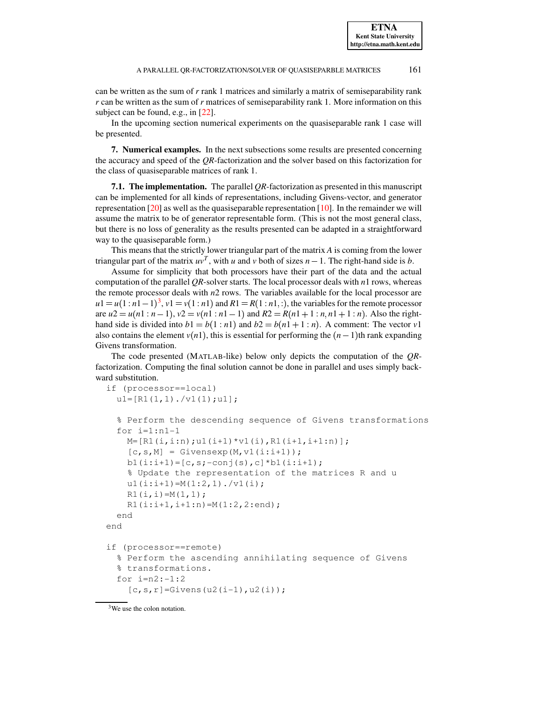can be written as the sum of *r* rank 1 matrices and similarly a matrix of semiseparability rank *r* can be written as the sum of *r* matrices of semiseparability rank 1. More information on this subject can be found, e.g., in [\[22\]](#page-23-5).

In the upcoming section numerical experiments on the quasiseparable rank 1 case will be presented.

<span id="page-17-0"></span>**7. Numerical examples.** In the next subsections some results are presented concerning the accuracy and speed of the *QR*-factorization and the solver based on this factorization for the class of quasiseparable matrices of rank 1.

**7.1. The implementation.** The parallel *QR*-factorization as presented in this manuscript can be implemented for all kinds of representations, including Givens-vector, and generator representation  $[20]$  as well as the quasiseparable representation  $[10]$ . In the remainder we will assume the matrix to be of generator representable form. (This is not the most general class, but there is no loss of generality as the results presented can be adapted in a straightforward way to the quasiseparable form.)

This means that the strictly lower triangular part of the matrix *A* is coming from the lower triangular part of the matrix  $uv^T$ , with *u* and *v* both of sizes  $n - 1$ . The right-hand side is *b*.

Assume for simplicity that both processors have their part of the data and the actual computation of the parallel *QR*-solver starts. The local processor deals with *n*1 rows, whereas the remote processor deals with *n*2 rows. The variables available for the local processor are  $u_1 = u(1:n_1-1)^3$  $u_1 = u(1:n_1-1)^3$ ,  $v_1 = v(1:n_1)$  and  $R_1 = R(1:n_1, ...)$ , the variables for the remote processor  $\alpha$  are  $u^2 = u(n! : n-1)$ ,  $v^2 = v(n! : n! - 1)$  and  $R^2 = R(n! + 1 : n, n! + 1 : n)$ . Also the righthand side is divided into  $b1 = b(1:n1)$  and  $b2 = b(n1 + 1:n)$ . A comment: The vector  $v1$ also contains the element  $v(n)$ , this is essential for performing the  $(n-1)$ th rank expanding Givens transformation.

The code presented (MATLAB-like) below only depicts the computation of the *QR*factorization. Computing the final solution cannot be done in parallel and uses simply backward substitution.

```
if (processor==local)
  ul=[R1(1,1)./v1(1);u1];
  % Perform the descending sequence of Givens transformations
  for i=1:n1-1M=[R1(i, i:n);u1(i+1)*v1(i),R1(i+1,i+1:n)];[c, s, M] = Givensexp(M, v1(i:i+1));b1(i:i+1)=[c,s;-conj(s),c]*b1(i:i+1);
    % Update the representation of the matrices R and u
    ul(i:i+1)=M(1:2,1)./v1(i);
    R1(i,i)=M(1,1);R1(i:i+1,i+1:n) = M(1:2,2:end);end
end
if (processor==remote)
  % Perform the ascending annihilating sequence of Givens
  % transformations.
  for i=n2:-1:2[c, s, r] =Givens(u2(i-1),u2(i));
```
<span id="page-17-1"></span><sup>3</sup>We use the colon notation.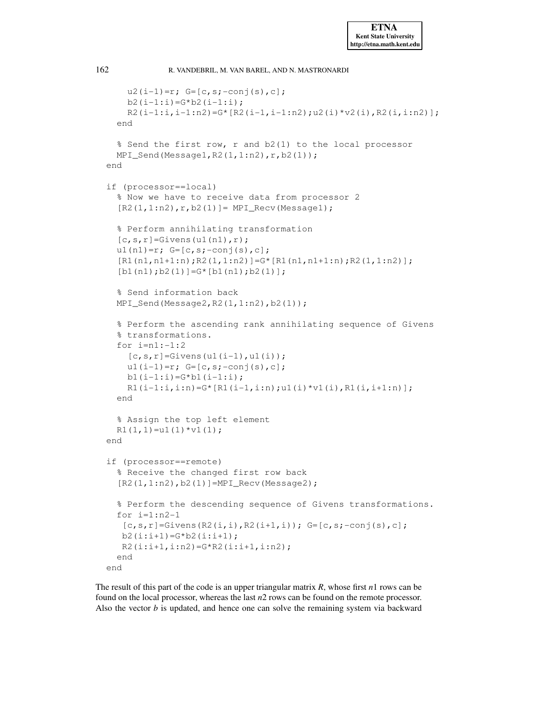```
u2(i-1)=r; G=[c,s;-conj(s),c];
   b2(i-1:i)=G*b2(i-1:i);R2(i-1:i,i-1:n2)=G* [R2(i-1,i-1:n2);u2(i)*v2(i),R2(i,i:n2)];end
  % Send the first row, r and b2(1) to the local processor
 MPI_Send(Message1,R2(1,1:n2),r,b2(1));
end
if (processor==local)
  % Now we have to receive data from processor 2
  [R2(1,1:n2),r,b2(1)]= MPI\_Recv(Messaged);% Perform annihilating transformation
  [c,s,r]=Givens(ul(n1),r);u1(n1)=r; G=[c,s;-conj(s),c];
  [R1(n1,n1+1:n);R2(1,1:n2)]=G*[R1(n1,n1+1:n);R2(1,1:n2)];[b1(n1);b2(1)]=G*[b1(n1);b2(1)];% Send information back
 MPI_Send(Message2,R2(1,1:n2),b2(1));
  % Perform the ascending rank annihilating sequence of Givens
  % transformations.
  for i=n1:-1:2[c,s,r] =Givens(u1(i-1),u1(i));
   ul(i-1)=r; G=[c,s;-conj(s),c];b1(i-1:i)=G*bl(i-1:i);R1(i-1:i,i:n)=G* [R1(i-1,i:n);u1(i)*v1(i),R1(i,i+1:n)];end
  % Assign the top left element
 R1(1,1)=u1(1)*v1(1);end
if (processor==remote)
  % Receive the changed first row back
  [R2(1,1:n2),b2(1)]=MPI_Recv(Message2);
  % Perform the descending sequence of Givens transformations.
  for i=1:n2-1[c,s,r]=Givens(R2(i,i),R2(i+1,i)); G=[c,s;-conj(s),c];b2(i:i+1)=G*b2(i:i+1);
  R2(i:i+1,i:n2)=G*R2(i:i+1,i:n2);
  end
end
```
The result of this part of the code is an upper triangular matrix *R*, whose first *n*1 rows can be found on the local processor, whereas the last *n*2 rows can be found on the remote processor. Also the vector *b* is updated, and hence one can solve the remaining system via backward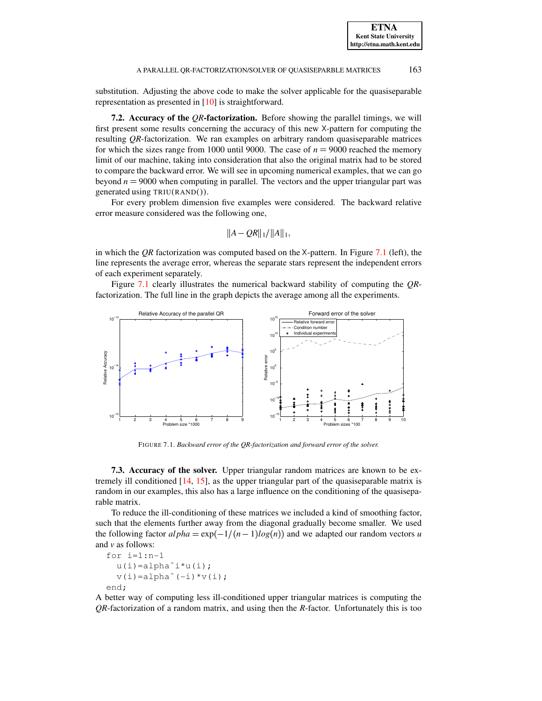**ETNA Kent State University** 

# A PARALLEL QR-FACTORIZATION/SOLVER OF QUASISEPARBLE MATRICES 163

substitution. Adjusting the above code to make the solver applicable for the quasiseparable representation as presented in [\[10\]](#page-22-5) is straightforward.

**7.2. Accuracy of the** *QR***-factorization.** Before showing the parallel timings, we will first present some results concerning the accuracy of this new  $X$ -pattern for computing the resulting *QR*-factorization. We ran examples on arbitrary random quasiseparable matrices for which the sizes range from 1000 until 9000. The case of  $n = 9000$  reached the memory limit of our machine, taking into consideration that also the original matrix had to be stored to compare the backward error. We will see in upcoming numerical examples, that we can go beyond  $n = 9000$  when computing in parallel. The vectors and the upper triangular part was generated using TRIU(RAND()).

For every problem dimension five examples were considered. The backward relative error measure considered was the following one,

$$
||A-QR||_1/||A||_1,
$$

in which the *OR* factorization was computed based on the  $X$ -pattern. In Figure [7.1](#page-19-0) (left), the line represents the average error, whereas the separate stars represent the independent errors of each experiment separately.

Figure [7.1](#page-19-0) clearly illustrates the numerical backward stability of computing the *QR*factorization. The full line in the graph depicts the average among all the experiments.



<span id="page-19-0"></span>FIGURE 7.1. *Backward error of the QR-factorization and forward error of the solver.*

**7.3. Accuracy of the solver.** Upper triangular random matrices are known to be extremely ill conditioned  $[14, 15]$  $[14, 15]$  $[14, 15]$ , as the upper triangular part of the quasiseparable matrix is random in our examples, this also has a large influence on the conditioning of the quasiseparable matrix.

To reduce the ill-conditioning of these matrices we included a kind of smoothing factor, such that the elements further away from the diagonal gradually become smaller. We used the following factor  $\alpha l p h a = \exp(-1/(n-1)log(n))$  and we adapted our random vectors *u* and *v* as follows:

```
for i=1:n-1
  u(i)=alphaˆi*u(i);
  v(i)=alpha^(-i)*v(i);
end;
```
A better way of computing less ill-conditioned upper triangular matrices is computing the *QR*-factorization of a random matrix, and using then the *R*-factor. Unfortunately this is too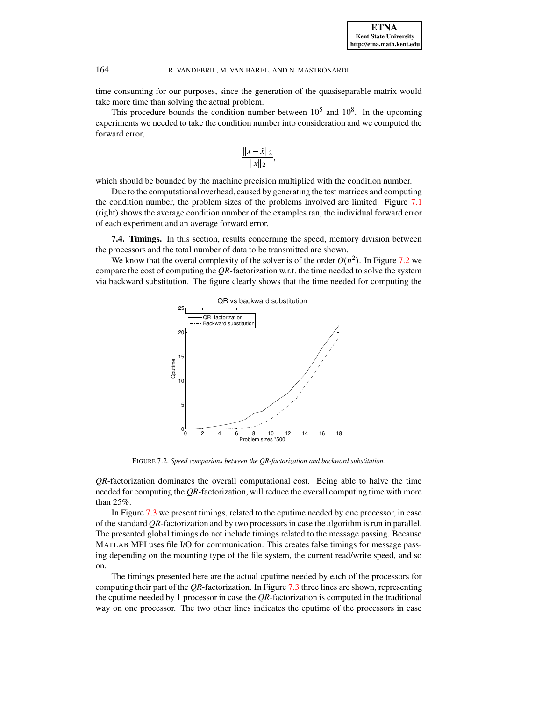time consuming for our purposes, since the generation of the quasiseparable matrix would take more time than solving the actual problem.

This procedure bounds the condition number between  $10<sup>5</sup>$  and  $10<sup>8</sup>$ . In the upcoming experiments we needed to take the condition number into consideration and we computed the forward error,

$$
\frac{\|x-\tilde{x}\|_2}{\|x\|_2},
$$

which should be bounded by the machine precision multiplied with the condition number.

Due to the computational overhead, caused by generating the test matrices and computing the condition number, the problem sizes of the problems involved are limited. Figure [7.1](#page-19-0) (right) shows the average condition number of the examples ran, the individual forward error of each experiment and an average forward error.

**7.4. Timings.** In this section, results concerning the speed, memory division between the processors and the total number of data to be transmitted are shown.

We know that the overal complexity of the solver is of the order  $O(n^2)$ . In Figure [7.2](#page-20-0) we compare the cost of computing the *QR*-factorization w.r.t. the time needed to solve the system via backward substitution. The figure clearly shows that the time needed for computing the



FIGURE 7.2. *Speed comparions between the QR-factorization and backward substitution.*

<span id="page-20-0"></span>*QR*-factorization dominates the overall computational cost. Being able to halve the time needed for computing the *QR*-factorization, will reduce the overall computing time with more than 25%.

In Figure [7.3](#page-21-4) we present timings, related to the cputime needed by one processor, in case of the standard *QR*-factorization and by two processors in case the algorithm is run in parallel. The presented global timings do not include timings related to the message passing. Because MATLAB MPI uses file I/O for communication. This creates false timings for message passing depending on the mounting type of the file system, the current read/write speed, and so on.

The timings presented here are the actual cputime needed by each of the processors for computing their part of the *QR*-factorization. In Figure [7.3](#page-21-4) three lines are shown, representing the cputime needed by 1 processor in case the *QR*-factorization is computed in the traditional way on one processor. The two other lines indicates the cputime of the processors in case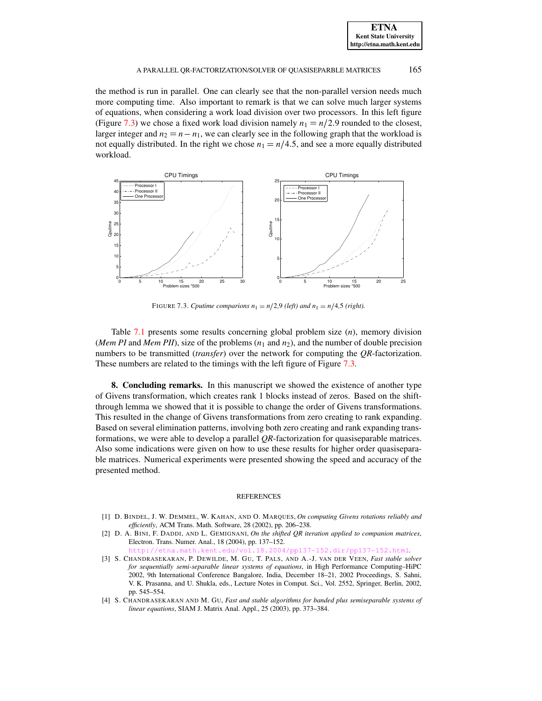| <b>ETNA</b>                  |
|------------------------------|
| <b>Kent State University</b> |
| http://etna.math.kent.edu    |

### A PARALLEL OR-FACTORIZATION/SOLVER OF QUASISEPARBLE MATRICES 165

the method is run in parallel. One can clearly see that the non-parallel version needs much more computing time. Also important to remark is that we can solve much larger systems of equations, when considering a work load division over two processors. In this left figure (Figure [7.3\)](#page-21-4) we chose a fixed work load division namely  $n_1 = n/2.9$  rounded to the closest, larger integer and  $n_2 = n - n_1$ , we can clearly see in the following graph that the workload is not equally distributed. In the right we chose  $n_1 = n/4.5$ , and see a more equally distributed workload.



<span id="page-21-4"></span>FIGURE 7.3. *Cputime comparions*  $n_1 = n/2.9$  *(left)* and  $n_1 = n/4.5$  *(right).* 

Table [7.1](#page-22-11) presents some results concerning global problem size (*n*), memory division (*Mem PI* and *Mem PII*), size of the problems  $(n_1 \text{ and } n_2)$ , and the number of double precision numbers to be transmitted (*transfer*) over the network for computing the *QR*-factorization. These numbers are related to the timings with the left figure of Figure [7.3.](#page-21-4)

**8. Concluding remarks.** In this manuscript we showed the existence of another type of Givens transformation, which creates rank 1 blocks instead of zeros. Based on the shiftthrough lemma we showed that it is possible to change the order of Givens transformations. This resulted in the change of Givens transformations from zero creating to rank expanding. Based on several elimination patterns, involving both zero creating and rank expanding transformations, we were able to develop a parallel *QR*-factorization for quasiseparable matrices. Also some indications were given on how to use these results for higher order quasiseparable matrices. Numerical experiments were presented showing the speed and accuracy of the presented method.

#### REFERENCES

- <span id="page-21-3"></span>[1] D. BINDEL, J. W. DEMMEL, W. KAHAN, AND O. MARQUES, *On computing Givens rotations reliably and efficiently*, ACM Trans. Math. Software, 28 (2002), pp. 206–238.
- <span id="page-21-2"></span>[2] D. A. BINI, F. DADDI, AND L. GEMIGNANI, *On the shifted QR iteration applied to companion matrices*, Electron. Trans. Numer. Anal., 18 (2004), pp. 137–152.

 $4/pp137-152.$ dir/pp $137-152.$ html.

- <span id="page-21-0"></span>[3] S. CHANDRASEKARAN, P. DEWILDE, M. GU, T. PALS, AND A.-J. VAN DER VEEN, *Fast stable solver for sequentially semi-separable linear systems of equations*, in High Performance Computing–HiPC 2002, 9th International Conference Bangalore, India, December 18–21, 2002 Proceedings, S. Sahni, V. K. Prasanna, and U. Shukla, eds., Lecture Notes in Comput. Sci., Vol. 2552, Springer, Berlin, 2002, pp. 545–554.
- <span id="page-21-1"></span>[4] S. CHANDRASEKARAN AND M. GU, *Fast and stable algorithms for banded plus semiseparable systems of linear equations*, SIAM J. Matrix Anal. Appl., 25 (2003), pp. 373–384.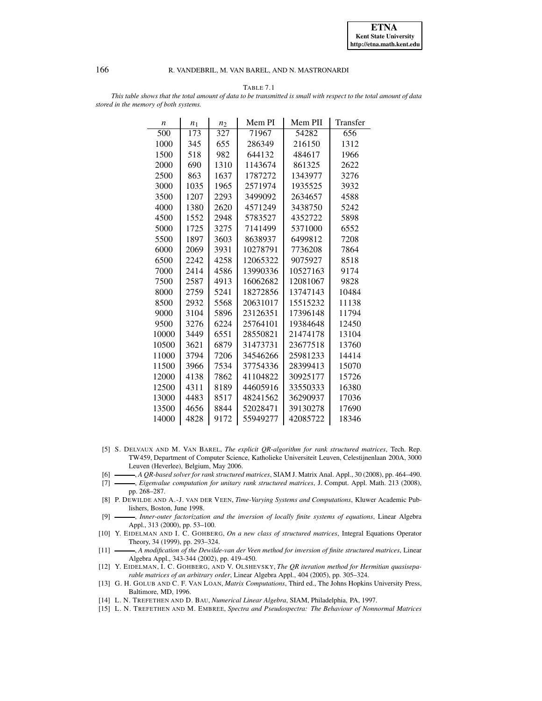

TABLE 7.1

<span id="page-22-11"></span>This table shows that the total amount of data to be transmitted is small with respect to the total amount of data *stored in the memory of both systems.*

| $\boldsymbol{n}$ | $n_1$ | n <sub>2</sub> | Mem PI   | Mem PII  | Transfer |
|------------------|-------|----------------|----------|----------|----------|
| $\overline{5}00$ | 173   | 327            | 71967    | 54282    | 656      |
| 1000             | 345   | 655            | 286349   | 216150   | 1312     |
| 1500             | 518   | 982            | 644132   | 484617   | 1966     |
| 2000             | 690   | 1310           | 1143674  | 861325   | 2622     |
| 2500             | 863   | 1637           | 1787272  | 1343977  | 3276     |
| 3000             | 1035  | 1965           | 2571974  | 1935525  | 3932     |
| 3500             | 1207  | 2293           | 3499092  | 2634657  | 4588     |
| 4000             | 1380  | 2620           | 4571249  | 3438750  | 5242     |
| 4500             | 1552  | 2948           | 5783527  | 4352722  | 5898     |
| 5000             | 1725  | 3275           | 7141499  | 5371000  | 6552     |
| 5500             | 1897  | 3603           | 8638937  | 6499812  | 7208     |
| 6000             | 2069  | 3931           | 10278791 | 7736208  | 7864     |
| 6500             | 2242  | 4258           | 12065322 | 9075927  | 8518     |
| 7000             | 2414  | 4586           | 13990336 | 10527163 | 9174     |
| 7500             | 2587  | 4913           | 16062682 | 12081067 | 9828     |
| 8000             | 2759  | 5241           | 18272856 | 13747143 | 10484    |
| 8500             | 2932  | 5568           | 20631017 | 15515232 | 11138    |
| 9000             | 3104  | 5896           | 23126351 | 17396148 | 11794    |
| 9500             | 3276  | 6224           | 25764101 | 19384648 | 12450    |
| 10000            | 3449  | 6551           | 28550821 | 21474178 | 13104    |
| 10500            | 3621  | 6879           | 31473731 | 23677518 | 13760    |
| 11000            | 3794  | 7206           | 34546266 | 25981233 | 14414    |
| 11500            | 3966  | 7534           | 37754336 | 28399413 | 15070    |
| 12000            | 4138  | 7862           | 41104822 | 30925177 | 15726    |
| 12500            | 4311  | 8189           | 44605916 | 33550333 | 16380    |
| 13000            | 4483  | 8517           | 48241562 | 36290937 | 17036    |
| 13500            | 4656  | 8844           | 52028471 | 39130278 | 17690    |
| 14000            | 4828  | 9172           | 55949277 | 42085722 | 18346    |

- <span id="page-22-2"></span>[5] S. DELVAUX AND M. VAN BAREL, *The explicit QR-algorithm for rank structured matrices*, Tech. Rep. TW459, Department of Computer Science, Katholieke Universiteit Leuven, Celestijnenlaan 200A, 3000 Leuven (Heverlee), Belgium, May 2006.
- <span id="page-22-4"></span><span id="page-22-0"></span>[6] , *A QR-based solver for rank structured matrices*, SIAM J. Matrix Anal. Appl., 30 (2008), pp. 464–490.
- [7] , *Eigenvalue computation for unitary rank structured matrices*, J. Comput. Appl. Math. 213 (2008), pp. 268–287.
- <span id="page-22-8"></span>[8] P. DEWILDE AND A.-J. VAN DER VEEN, *Time-Varying Systems and Computations*, Kluwer Academic Publishers, Boston, June 1998.
- <span id="page-22-6"></span>[9] , *Inner-outer factorization and the inversion of locally finite systems of equations*, Linear Algebra Appl., 313 (2000), pp. 53–100.
- <span id="page-22-5"></span>[10] Y. EIDELMAN AND I. C. GOHBERG, *On a new class of structured matrices*, Integral Equations Operator Theory, 34 (1999), pp. 293–324.
- <span id="page-22-1"></span>[11] , *A modification of the Dewilde-van der Veen method for inversion of finite structured matrices*, Linear Algebra Appl., 343-344 (2002), pp. 419–450.
- <span id="page-22-3"></span>[12] Y. EIDELMAN, I. C. GOHBERG, AND V. OLSHEVSKY, *The QR iteration method for Hermitian quasiseparable matrices of an arbitrary order*, Linear Algebra Appl., 404 (2005), pp. 305–324.
- <span id="page-22-7"></span>[13] G. H. GOLUB AND C. F. VAN LOAN, *Matrix Computations*, Third ed., The Johns Hopkins University Press, Baltimore, MD, 1996.
- <span id="page-22-10"></span><span id="page-22-9"></span>[14] L. N. TREFETHEN AND D. BAU, *Numerical Linear Algebra*, SIAM, Philadelphia, PA, 1997.
- [15] L. N. TREFETHEN AND M. EMBREE, *Spectra and Pseudospectra: The Behaviour of Nonnormal Matrices*